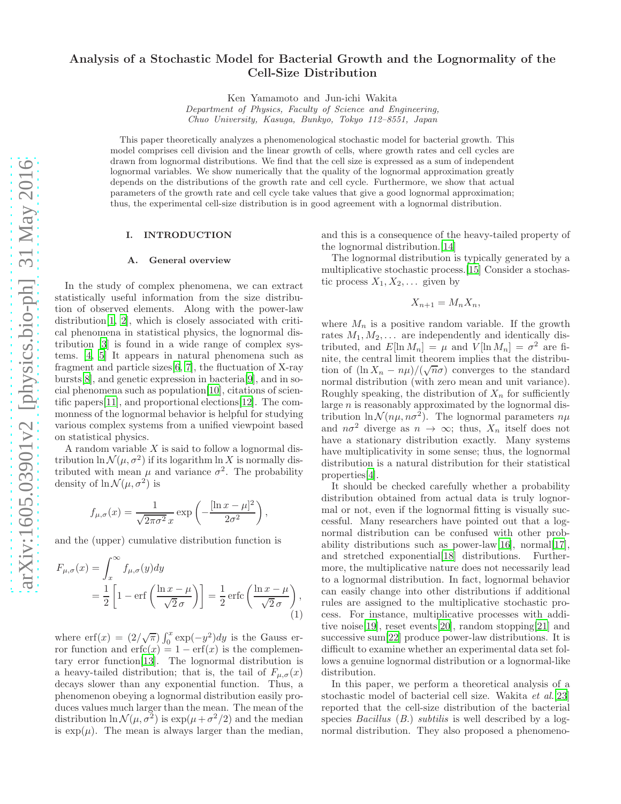# Analysis of a Stochastic Model for Bacterial Growth and the Lognormality of the Cell-Size Distribution

Ken Yamamoto and Jun-ichi Wakita

Department of Physics, Faculty of Science and Engineering, Chuo University, Kasuga, Bunkyo, Tokyo 112–8551, Japan

This paper theoretically analyzes a phenomenological stochastic model for bacterial growth. This model comprises cell division and the linear growth of cells, where growth rates and cell cycles are drawn from lognormal distributions. We find that the cell size is expressed as a sum of independent lognormal variables. We show numerically that the quality of the lognormal approximation greatly depends on the distributions of the growth rate and cell cycle. Furthermore, we show that actual parameters of the growth rate and cell cycle take values that give a good lognormal approximation; thus, the experimental cell-size distribution is in good agreement with a lognormal distribution.

#### I. INTRODUCTION

#### A. General overview

In the study of complex phenomena, we can extract statistically useful information from the size distribution of observed elements. Along with the power-law distribution[\[1,](#page-7-0) [2\]](#page-7-1), which is closely associated with critical phenomena in statistical physics, the lognormal distribution [\[3](#page-7-2)] is found in a wide range of complex systems. [\[4](#page-7-3), [5\]](#page-7-4) It appears in natural phenomena such as fragment and particle sizes[\[6,](#page-7-5) [7](#page-7-6)], the fluctuation of X-ray bursts[\[8\]](#page-7-7), and genetic expression in bacteria[\[9](#page-7-8)], and in social phenomena such as population[\[10](#page-7-9)], citations of scientific papers[\[11\]](#page-7-10), and proportional elections[\[12\]](#page-7-11). The commonness of the lognormal behavior is helpful for studying various complex systems from a unified viewpoint based on statistical physics.

A random variable  $X$  is said to follow a lognormal distribution  $\ln \mathcal{N}(\mu, \sigma^2)$  if its logarithm  $\ln X$  is normally distributed with mean  $\mu$  and variance  $\sigma^2$ . The probability density of  $\ln \mathcal{N}(\mu, \sigma^2)$  is

$$
f_{\mu,\sigma}(x) = \frac{1}{\sqrt{2\pi\sigma^2} x} \exp\left(-\frac{[\ln x - \mu]^2}{2\sigma^2}\right),\,
$$

and the (upper) cumulative distribution function is

$$
F_{\mu,\sigma}(x) = \int_x^{\infty} f_{\mu,\sigma}(y) dy
$$
  
=  $\frac{1}{2} \left[ 1 - \text{erf}\left(\frac{\ln x - \mu}{\sqrt{2} \sigma}\right) \right] = \frac{1}{2} \text{erfc}\left(\frac{\ln x - \mu}{\sqrt{2} \sigma}\right),$  (1)

where  $\operatorname{erf}(x) = (2/\sqrt{\pi}) \int_0^x \exp(-y^2) dy$  is the Gauss error function and  $erfc(x) = 1 - erf(x)$  is the complementary error function[\[13](#page-7-12)]. The lognormal distribution is a heavy-tailed distribution; that is, the tail of  $F_{\mu,\sigma}(x)$ decays slower than any exponential function. Thus, a phenomenon obeying a lognormal distribution easily produces values much larger than the mean. The mean of the distribution  $\ln \mathcal{N}(\mu, \sigma^2)$  is  $\exp(\mu + \sigma^2/2)$  and the median is  $\exp(\mu)$ . The mean is always larger than the median,

and this is a consequence of the heavy-tailed property of the lognormal distribution.[\[14](#page-7-13)]

The lognormal distribution is typically generated by a multiplicative stochastic process.[\[15](#page-7-14)] Consider a stochastic process  $X_1, X_2, \ldots$  given by

$$
X_{n+1} = M_n X_n,
$$

where  $M_n$  is a positive random variable. If the growth rates  $M_1, M_2, \ldots$  are independently and identically distributed, and  $E[\ln M_n] = \mu$  and  $V[\ln M_n] = \sigma^2$  are finite, the central limit theorem implies that the distribution of  $(\ln X_n - n\mu)/(\sqrt{n}\sigma)$  converges to the standard normal distribution (with zero mean and unit variance). Roughly speaking, the distribution of  $X_n$  for sufficiently large  $n$  is reasonably approximated by the lognormal distribution  $\ln \mathcal{N}(n\mu, n\sigma^2)$ . The lognormal parameters  $n\mu$ and  $n\sigma^2$  diverge as  $n \to \infty$ ; thus,  $X_n$  itself does not have a stationary distribution exactly. Many systems have multiplicativity in some sense; thus, the lognormal distribution is a natural distribution for their statistical properties[\[4\]](#page-7-3).

It should be checked carefully whether a probability distribution obtained from actual data is truly lognormal or not, even if the lognormal fitting is visually successful. Many researchers have pointed out that a lognormal distribution can be confused with other probability distributions such as power-law $[16]$ , normal $[17]$ , and stretched exponential[\[18](#page-7-17)] distributions. Furthermore, the multiplicative nature does not necessarily lead to a lognormal distribution. In fact, lognormal behavior can easily change into other distributions if additional rules are assigned to the multiplicative stochastic process. For instance, multiplicative processes with additive noise[\[19](#page-7-18)], reset events[\[20\]](#page-7-19), random stopping[\[21\]](#page-7-20) and successive sum[\[22](#page-7-21)] produce power-law distributions. It is difficult to examine whether an experimental data set follows a genuine lognormal distribution or a lognormal-like distribution.

<span id="page-0-0"></span>In this paper, we perform a theoretical analysis of a stochastic model of bacterial cell size. Wakita et al.[\[23](#page-7-22)] reported that the cell-size distribution of the bacterial species *Bacillus* (*B.*) *subtilis* is well described by a lognormal distribution. They also proposed a phenomeno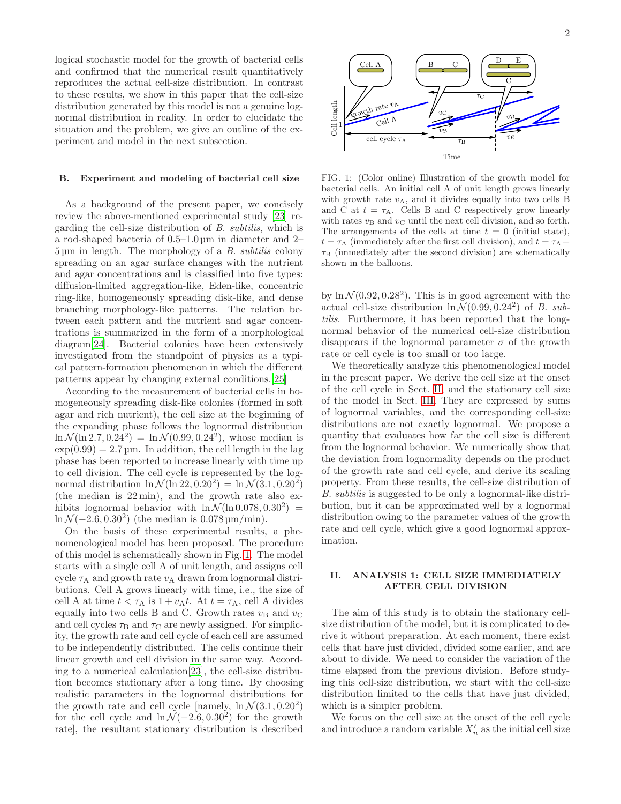logical stochastic model for the growth of bacterial cells and confirmed that the numerical result quantitatively reproduces the actual cell-size distribution. In contrast to these results, we show in this paper that the cell-size distribution generated by this model is not a genuine lognormal distribution in reality. In order to elucidate the situation and the problem, we give an outline of the experiment and model in the next subsection.

## B. Experiment and modeling of bacterial cell size

As a background of the present paper, we concisely review the above-mentioned experimental study [\[23\]](#page-7-22) regarding the cell-size distribution of B. subtilis, which is a rod-shaped bacteria of 0.5–1.0 µm in diameter and 2– 5 µm in length. The morphology of a B. subtilis colony spreading on an agar surface changes with the nutrient and agar concentrations and is classified into five types: diffusion-limited aggregation-like, Eden-like, concentric ring-like, homogeneously spreading disk-like, and dense branching morphology-like patterns. The relation between each pattern and the nutrient and agar concentrations is summarized in the form of a morphological diagram[\[24](#page-7-23)]. Bacterial colonies have been extensively investigated from the standpoint of physics as a typical pattern-formation phenomenon in which the different patterns appear by changing external conditions.[\[25](#page-7-24)]

According to the measurement of bacterial cells in homogeneously spreading disk-like colonies (formed in soft agar and rich nutrient), the cell size at the beginning of the expanding phase follows the lognormal distribution  $\ln \mathcal{N}(\ln 2.7, 0.24^2) = \ln \mathcal{N}(0.99, 0.24^2)$ , whose median is  $\exp(0.99) = 2.7 \,\text{\mu m}$ . In addition, the cell length in the lag phase has been reported to increase linearly with time up to cell division. The cell cycle is represented by the lognormal distribution  $\ln \mathcal{N}(\ln 22, 0.20^2) = \ln \mathcal{N}(3.1, 0.20^2)$ (the median is 22 min), and the growth rate also exhibits lognormal behavior with  $\ln \mathcal{N}(\ln 0.078, 0.30^2) =$  $\ln \mathcal{N}(-2.6, 0.30^2)$  (the median is  $0.078 \,\mathrm{\upmu m/min}$ ).

On the basis of these experimental results, a phenomenological model has been proposed. The procedure of this model is schematically shown in Fig. [1.](#page-1-0) The model starts with a single cell A of unit length, and assigns cell cycle  $\tau_A$  and growth rate  $v_A$  drawn from lognormal distributions. Cell A grows linearly with time, i.e., the size of cell A at time  $t < \tau_A$  is  $1 + v_A t$ . At  $t = \tau_A$ , cell A divides equally into two cells B and C. Growth rates  $v_B$  and  $v_C$ and cell cycles  $\tau_{\text{B}}$  and  $\tau_{\text{C}}$  are newly assigned. For simplicity, the growth rate and cell cycle of each cell are assumed to be independently distributed. The cells continue their linear growth and cell division in the same way. According to a numerical calculation[\[23](#page-7-22)], the cell-size distribution becomes stationary after a long time. By choosing realistic parameters in the lognormal distributions for the growth rate and cell cycle [namely,  $\ln \mathcal{N}(3.1, 0.20^2)$ ] for the cell cycle and  $\ln \mathcal{N}(-2.6, 0.30^2)$  for the growth rate], the resultant stationary distribution is described



<span id="page-1-0"></span>FIG. 1: (Color online) Illustration of the growth model for bacterial cells. An initial cell A of unit length grows linearly with growth rate  $v_A$ , and it divides equally into two cells B and C at  $t = \tau_A$ . Cells B and C respectively grow linearly with rates  $v_B$  and  $v_C$  until the next cell division, and so forth. The arrangements of the cells at time  $t = 0$  (initial state),  $t = \tau_A$  (immediately after the first cell division), and  $t = \tau_A +$  $\tau_{\rm B}$  (immediately after the second division) are schematically shown in the balloons.

by  $\ln \mathcal{N}(0.92, 0.28^2)$ . This is in good agreement with the actual cell-size distribution  $\ln \mathcal{N}(0.99, 0.24^2)$  of B. subtilis. Furthermore, it has been reported that the longnormal behavior of the numerical cell-size distribution disappears if the lognormal parameter  $\sigma$  of the growth rate or cell cycle is too small or too large.

We theoretically analyze this phenomenological model in the present paper. We derive the cell size at the onset of the cell cycle in Sect. [II,](#page-1-1) and the stationary cell size of the model in Sect. [III.](#page-3-0) They are expressed by sums of lognormal variables, and the corresponding cell-size distributions are not exactly lognormal. We propose a quantity that evaluates how far the cell size is different from the lognormal behavior. We numerically show that the deviation from lognormality depends on the product of the growth rate and cell cycle, and derive its scaling property. From these results, the cell-size distribution of B. subtilis is suggested to be only a lognormal-like distribution, but it can be approximated well by a lognormal distribution owing to the parameter values of the growth rate and cell cycle, which give a good lognormal approximation.

## <span id="page-1-1"></span>II. ANALYSIS 1: CELL SIZE IMMEDIATELY AFTER CELL DIVISION

The aim of this study is to obtain the stationary cellsize distribution of the model, but it is complicated to derive it without preparation. At each moment, there exist cells that have just divided, divided some earlier, and are about to divide. We need to consider the variation of the time elapsed from the previous division. Before studying this cell-size distribution, we start with the cell-size distribution limited to the cells that have just divided. which is a simpler problem.

We focus on the cell size at the onset of the cell cycle and introduce a random variable  $X'_n$  as the initial cell size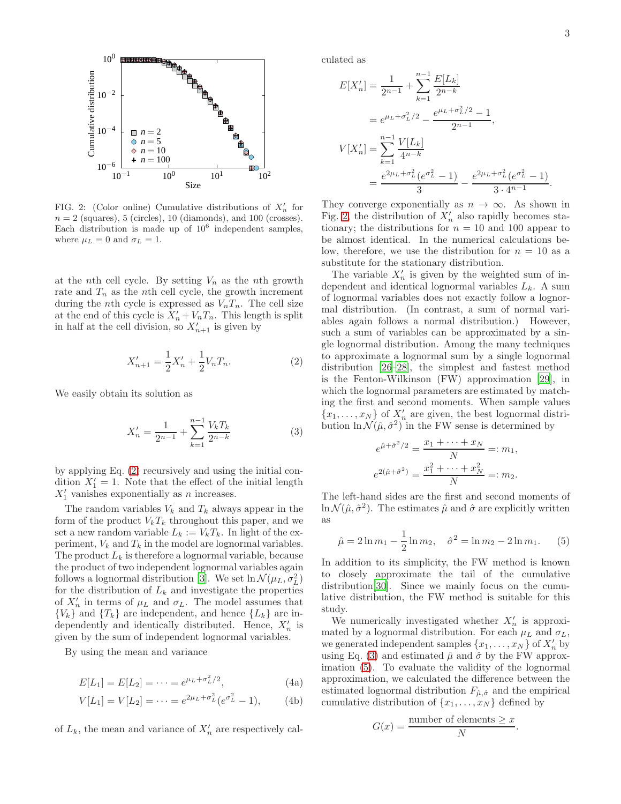.



<span id="page-2-1"></span>FIG. 2: (Color online) Cumulative distributions of  $X'_n$  for  $n = 2$  (squares), 5 (circles), 10 (diamonds), and 100 (crosses). Each distribution is made up of  $10^6$  independent samples, where  $\mu_L = 0$  and  $\sigma_L = 1$ .

at the nth cell cycle. By setting  $V_n$  as the nth growth rate and  $T_n$  as the nth cell cycle, the growth increment during the *n*th cycle is expressed as  $V_nT_n$ . The cell size at the end of this cycle is  $X'_n + V_nT_n$ . This length is split in half at the cell division, so  $X'_{n+1}$  is given by

<span id="page-2-0"></span>
$$
X'_{n+1} = \frac{1}{2}X'_n + \frac{1}{2}V_nT_n.
$$
 (2)

We easily obtain its solution as

<span id="page-2-2"></span>
$$
X'_n = \frac{1}{2^{n-1}} + \sum_{k=1}^{n-1} \frac{V_k T_k}{2^{n-k}} \tag{3}
$$

by applying Eq. [\(2\)](#page-2-0) recursively and using the initial condition  $X'_1 = 1$ . Note that the effect of the initial length  $X'_1$  vanishes exponentially as *n* increases.

The random variables  $V_k$  and  $T_k$  always appear in the form of the product  $V_kT_k$  throughout this paper, and we set a new random variable  $L_k := V_k T_k$ . In light of the experiment,  $V_k$  and  $T_k$  in the model are lognormal variables. The product  $L_k$  is therefore a lognormal variable, because the product of two independent lognormal variables again follows a lognormal distribution [\[3\]](#page-7-2). We set  $\ln \mathcal{N}(\mu_L, \sigma_L^2)$ for the distribution of  $L_k$  and investigate the properties of  $X'_n$  in terms of  $\mu_L$  and  $\sigma_L$ . The model assumes that  ${V_k}$  and  ${T_k}$  are independent, and hence  ${L_k}$  are independently and identically distributed. Hence,  $X'_n$  is given by the sum of independent lognormal variables.

By using the mean and variance

$$
E[L_1] = E[L_2] = \dots = e^{\mu_L + \sigma_L^2/2},\tag{4a}
$$

$$
V[L_1] = V[L_2] = \dots = e^{2\mu_L + \sigma_L^2} (e^{\sigma_L^2} - 1), \quad (4b)
$$

of  $L_k$ , the mean and variance of  $X'_n$  are respectively cal-

culated as

$$
E[X'_n] = \frac{1}{2^{n-1}} + \sum_{k=1}^{n-1} \frac{E[L_k]}{2^{n-k}}
$$
  
=  $e^{\mu_L + \sigma_L^2/2} - \frac{e^{\mu_L + \sigma_L^2/2} - 1}{2^{n-1}},$   

$$
V[X'_n] = \sum_{k=1}^{n-1} \frac{V[L_k]}{4^{n-k}}
$$
  
=  $\frac{e^{2\mu_L + \sigma_L^2} (e^{\sigma_L^2} - 1)}{3} - \frac{e^{2\mu_L + \sigma_L^2} (e^{\sigma_L^2} - 1)}{3 \cdot 4^{n-1}}$ 

They converge exponentially as  $n \to \infty$ . As shown in Fig. [2,](#page-2-1) the distribution of  $\ddot{X}'_n$  also rapidly becomes stationary; the distributions for  $n = 10$  and 100 appear to be almost identical. In the numerical calculations below, therefore, we use the distribution for  $n = 10$  as a substitute for the stationary distribution.

The variable  $X'_n$  is given by the weighted sum of independent and identical lognormal variables  $L_k$ . A sum of lognormal variables does not exactly follow a lognormal distribution. (In contrast, a sum of normal variables again follows a normal distribution.) However, such a sum of variables can be approximated by a single lognormal distribution. Among the many techniques to approximate a lognormal sum by a single lognormal distribution [\[26](#page-7-25)[–28\]](#page-7-26), the simplest and fastest method is the Fenton-Wilkinson (FW) approximation [\[29](#page-7-27)], in which the lognormal parameters are estimated by matching the first and second moments. When sample values  ${x_1, \ldots, x_N}$  of  $X'_n$  are given, the best lognormal distribution  $\ln \mathcal{N}(\hat{\mu}, \hat{\sigma}^2)$  in the FW sense is determined by

$$
e^{\hat{\mu} + \hat{\sigma}^2/2} = \frac{x_1 + \dots + x_N}{N} =: m_1,
$$
  

$$
e^{2(\hat{\mu} + \hat{\sigma}^2)} = \frac{x_1^2 + \dots + x_N^2}{N} =: m_2.
$$

The left-hand sides are the first and second moments of  $\ln \mathcal{N}(\hat{\mu}, \hat{\sigma}^2)$ . The estimates  $\hat{\mu}$  and  $\hat{\sigma}$  are explicitly written as

<span id="page-2-3"></span>
$$
\hat{\mu} = 2\ln m_1 - \frac{1}{2}\ln m_2, \quad \hat{\sigma}^2 = \ln m_2 - 2\ln m_1. \tag{5}
$$

In addition to its simplicity, the FW method is known to closely approximate the tail of the cumulative distribution[\[30\]](#page-7-28). Since we mainly focus on the cumulative distribution, the FW method is suitable for this study.

<span id="page-2-5"></span><span id="page-2-4"></span>We numerically investigated whether  $X'_n$  is approximated by a lognormal distribution. For each  $\mu_L$  and  $\sigma_L$ , we generated independent samples  $\{x_1, \ldots, x_N\}$  of  $X'_n$  by using Eq. [\(3\)](#page-2-2) and estimated  $\hat{\mu}$  and  $\hat{\sigma}$  by the FW approximation [\(5\)](#page-2-3). To evaluate the validity of the lognormal approximation, we calculated the difference between the estimated lognormal distribution  $F_{\hat{\mu},\hat{\sigma}}$  and the empirical cumulative distribution of  $\{x_1, \ldots, x_N\}$  defined by

$$
G(x) = \frac{\text{number of elements} \ge x}{N}.
$$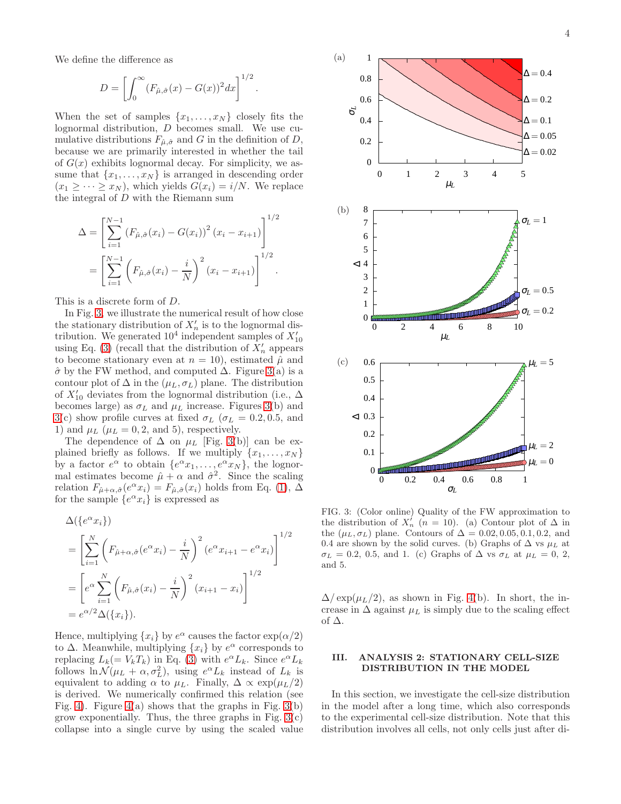We define the difference as

$$
D = \left[ \int_0^\infty (F_{\hat{\mu}, \hat{\sigma}}(x) - G(x))^2 dx \right]^{1/2}.
$$

When the set of samples  $\{x_1, \ldots, x_N\}$  closely fits the lognormal distribution, D becomes small. We use cumulative distributions  $F_{\hat{\mu}, \hat{\sigma}}$  and G in the definition of D, because we are primarily interested in whether the tail of  $G(x)$  exhibits lognormal decay. For simplicity, we assume that  $\{x_1, \ldots, x_N\}$  is arranged in descending order  $(x_1 \geq \cdots \geq x_N)$ , which yields  $G(x_i) = i/N$ . We replace the integral of D with the Riemann sum

$$
\Delta = \left[ \sum_{i=1}^{N-1} (F_{\hat{\mu}, \hat{\sigma}}(x_i) - G(x_i))^2 (x_i - x_{i+1}) \right]^{1/2}
$$

$$
= \left[ \sum_{i=1}^{N-1} \left( F_{\hat{\mu}, \hat{\sigma}}(x_i) - \frac{i}{N} \right)^2 (x_i - x_{i+1}) \right]^{1/2}.
$$

This is a discrete form of D.

In Fig. [3,](#page-3-1) we illustrate the numerical result of how close the stationary distribution of  $X'_n$  is to the lognormal distribution. We generated 10<sup>4</sup> independent samples of  $X'_{10}$ using Eq. [\(3\)](#page-2-2) (recall that the distribution of  $\hat{X}'_n$  appears to become stationary even at  $n = 10$ , estimated  $\hat{\mu}$  and  $\hat{\sigma}$  by the FW method, and computed  $\Delta$ . Figure [3\(](#page-3-1)a) is a contour plot of  $\Delta$  in the  $(\mu_L, \sigma_L)$  plane. The distribution of  $X'_{10}$  deviates from the lognormal distribution (i.e.,  $\Delta$ becomes large) as  $\sigma_L$  and  $\mu_L$  increase. Figures [3\(](#page-3-1)b) and [3\(](#page-3-1)c) show profile curves at fixed  $\sigma_L$  ( $\sigma_L = 0.2, 0.5$ , and 1) and  $\mu$ <sub>L</sub> ( $\mu$ <sub>L</sub> = 0, 2, and 5), respectively.

The dependence of  $\Delta$  on  $\mu$ <sub>L</sub> [Fig. [3\(](#page-3-1)b)] can be explained briefly as follows. If we multiply  $\{x_1, \ldots, x_N\}$ by a factor  $e^{\alpha}$  to obtain  $\{e^{\alpha}x_1, \ldots, e^{\alpha}x_N\}$ , the lognormal estimates become  $\hat{\mu} + \alpha$  and  $\hat{\sigma}^2$ . Since the scaling relation  $F_{\hat{\mu}+\alpha,\hat{\sigma}}(e^{\alpha}x_i) = F_{\hat{\mu},\hat{\sigma}}(x_i)$  holds from Eq. [\(1\)](#page-0-0),  $\Delta$ for the sample  $\{e^{\alpha}x_i\}$  is expressed as

$$
\Delta(\lbrace e^{\alpha} x_i \rbrace)
$$
\n
$$
= \left[ \sum_{i=1}^N \left( F_{\hat{\mu} + \alpha, \hat{\sigma}}(e^{\alpha} x_i) - \frac{i}{N} \right)^2 (e^{\alpha} x_{i+1} - e^{\alpha} x_i) \right]^{1/2}
$$
\n
$$
= \left[ e^{\alpha} \sum_{i=1}^N \left( F_{\hat{\mu}, \hat{\sigma}}(x_i) - \frac{i}{N} \right)^2 (x_{i+1} - x_i) \right]^{1/2}
$$
\n
$$
= e^{\alpha/2} \Delta(\lbrace x_i \rbrace).
$$

Hence, multiplying  $\{x_i\}$  by  $e^{\alpha}$  causes the factor  $\exp(\alpha/2)$ to  $\Delta$ . Meanwhile, multiplying  $\{x_i\}$  by  $e^{\alpha}$  corresponds to replacing  $L_k (= V_k T_k)$  in Eq. [\(3\)](#page-2-2) with  $e^{\alpha} L_k$ . Since  $e^{\alpha} L_k$ follows  $\ln \mathcal{N}(\mu_L + \alpha, \sigma_L^2)$ , using  $e^{\alpha}L_k$  instead of  $L_k$  is equivalent to adding  $\alpha$  to  $\mu_L$ . Finally,  $\Delta \propto \exp(\mu_L/2)$ is derived. We numerically confirmed this relation (see Fig. [4\)](#page-4-0). Figure [4\(](#page-4-0)a) shows that the graphs in Fig.  $3(b)$ grow exponentially. Thus, the three graphs in Fig.  $3(c)$ collapse into a single curve by using the scaled value



<span id="page-3-1"></span>FIG. 3: (Color online) Quality of the FW approximation to the distribution of  $X'_n$  ( $n = 10$ ). (a) Contour plot of  $\Delta$  in the  $(\mu_L, \sigma_L)$  plane. Contours of  $\Delta = 0.02, 0.05, 0.1, 0.2,$  and 0.4 are shown by the solid curves. (b) Graphs of  $\Delta$  vs  $\mu_L$  at  $\sigma_L = 0.2, 0.5,$  and 1. (c) Graphs of  $\Delta$  vs  $\sigma_L$  at  $\mu_L = 0, 2,$ and 5.

 $\Delta/\exp(\mu_L/2)$ , as shown in Fig. [4\(](#page-4-0)b). In short, the increase in  $\Delta$  against  $\mu$ <sub>L</sub> is simply due to the scaling effect of ∆.

# <span id="page-3-0"></span>III. ANALYSIS 2: STATIONARY CELL-SIZE DISTRIBUTION IN THE MODEL

In this section, we investigate the cell-size distribution in the model after a long time, which also corresponds to the experimental cell-size distribution. Note that this distribution involves all cells, not only cells just after di-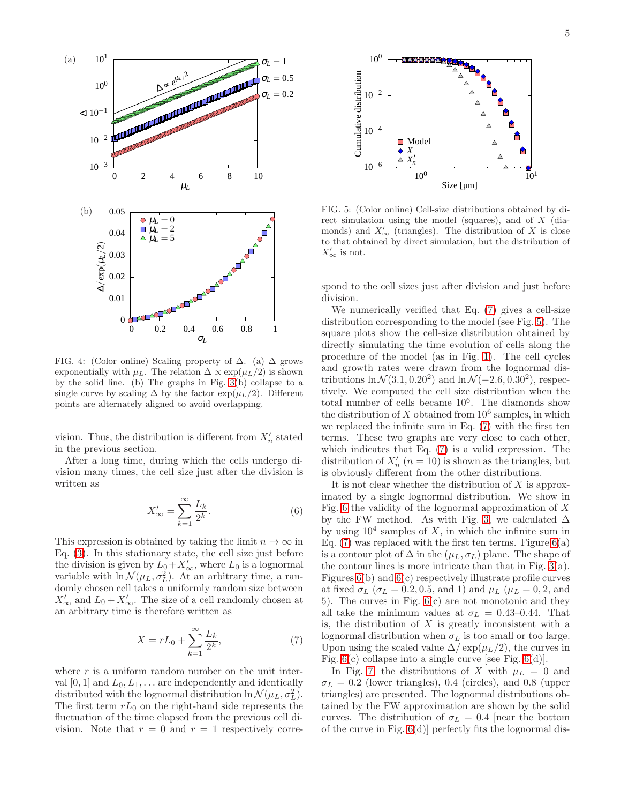

<span id="page-4-0"></span>FIG. 4: (Color online) Scaling property of  $\Delta$ . (a)  $\Delta$  grows exponentially with  $\mu_L$ . The relation  $\Delta \propto \exp(\mu_L/2)$  is shown by the solid line. (b) The graphs in Fig. [3\(](#page-3-1)b) collapse to a single curve by scaling  $\Delta$  by the factor  $\exp(\mu_L/2)$ . Different points are alternately aligned to avoid overlapping.

vision. Thus, the distribution is different from  $X'_n$  stated in the previous section.

After a long time, during which the cells undergo division many times, the cell size just after the division is written as

<span id="page-4-3"></span>
$$
X'_{\infty} = \sum_{k=1}^{\infty} \frac{L_k}{2^k}.
$$
 (6)

This expression is obtained by taking the limit  $n \to \infty$  in Eq. [\(3\)](#page-2-2). In this stationary state, the cell size just before the division is given by  $\overline{L}_0 + X'_{\infty}$ , where  $L_0$  is a lognormal variable with  $\ln \mathcal{N}(\mu_L, \sigma_L^2)$ . At an arbitrary time, a randomly chosen cell takes a uniformly random size between  $X'_{\infty}$  and  $L_0 + X'_{\infty}$ . The size of a cell randomly chosen at an arbitrary time is therefore written as

<span id="page-4-1"></span>
$$
X = rL_0 + \sum_{k=1}^{\infty} \frac{L_k}{2^k},
$$
\n(7)

where  $r$  is a uniform random number on the unit interval  $[0, 1]$  and  $L_0, L_1, \ldots$  are independently and identically distributed with the lognormal distribution  $\ln \mathcal{N}(\mu_L, \sigma_L^2)$ . The first term  $rL_0$  on the right-hand side represents the fluctuation of the time elapsed from the previous cell division. Note that  $r = 0$  and  $r = 1$  respectively corre-



<span id="page-4-2"></span>FIG. 5: (Color online) Cell-size distributions obtained by direct simulation using the model (squares), and of X (diamonds) and  $X'_{\infty}$  (triangles). The distribution of X is close to that obtained by direct simulation, but the distribution of  $X'_\infty$  is not.

spond to the cell sizes just after division and just before division.

We numerically verified that Eq. [\(7\)](#page-4-1) gives a cell-size distribution corresponding to the model (see Fig. [5\)](#page-4-2). The square plots show the cell-size distribution obtained by directly simulating the time evolution of cells along the procedure of the model (as in Fig. [1\)](#page-1-0). The cell cycles and growth rates were drawn from the lognormal distributions  $\ln \mathcal{N}(3.1, 0.20^2)$  and  $\ln \mathcal{N}(-2.6, 0.30^2)$ , respectively. We computed the cell size distribution when the total number of cells became 10<sup>6</sup> . The diamonds show the distribution of X obtained from  $10^6$  samples, in which we replaced the infinite sum in Eq. [\(7\)](#page-4-1) with the first ten terms. These two graphs are very close to each other, which indicates that Eq. [\(7\)](#page-4-1) is a valid expression. The distribution of  $X'_n$   $(n = 10)$  is shown as the triangles, but is obviously different from the other distributions.

It is not clear whether the distribution of  $X$  is approximated by a single lognormal distribution. We show in Fig. [6](#page-5-0) the validity of the lognormal approximation of  $X$ by the FW method. As with Fig. [3,](#page-3-1) we calculated  $\Delta$ by using  $10^4$  samples of X, in which the infinite sum in Eq.  $(7)$  was replaced with the first ten terms. Figure  $6(a)$ is a contour plot of  $\Delta$  in the  $(\mu_L, \sigma_L)$  plane. The shape of the contour lines is more intricate than that in Fig. [3\(](#page-3-1)a). Figures [6\(](#page-5-0)b) and [6\(](#page-5-0)c) respectively illustrate profile curves at fixed  $\sigma_L$  ( $\sigma_L = 0.2, 0.5,$  and 1) and  $\mu_L$  ( $\mu_L = 0, 2,$  and 5). The curves in Fig. [6\(](#page-5-0)c) are not monotonic and they all take the minimum values at  $\sigma_L = 0.43{\text -}0.44$ . That is, the distribution of  $X$  is greatly inconsistent with a lognormal distribution when  $\sigma_L$  is too small or too large. Upon using the scaled value  $\Delta / \exp(\mu_L/2)$ , the curves in Fig.  $6(c)$  collapse into a single curve [see Fig.  $6(d)$ ].

In Fig. [7,](#page-5-1) the distributions of X with  $\mu_L = 0$  and  $\sigma_L = 0.2$  (lower triangles), 0.4 (circles), and 0.8 (upper triangles) are presented. The lognormal distributions obtained by the FW approximation are shown by the solid curves. The distribution of  $\sigma_L = 0.4$  [near the bottom of the curve in Fig. [6\(](#page-5-0)d)] perfectly fits the lognormal dis-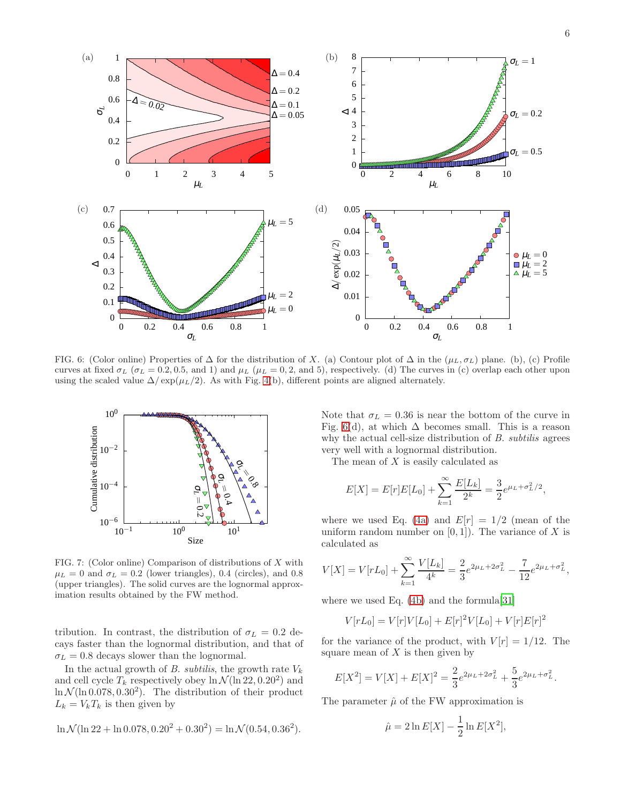

<span id="page-5-0"></span>FIG. 6: (Color online) Properties of  $\Delta$  for the distribution of X. (a) Contour plot of  $\Delta$  in the ( $\mu_L, \sigma_L$ ) plane. (b), (c) Profile curves at fixed  $\sigma_L$  ( $\sigma_L = 0.2, 0.5,$  and 1) and  $\mu_L$  ( $\mu_L = 0.2,$  and 5), respectively. (d) The curves in (c) overlap each other upon using the scaled value  $\Delta / \exp(\mu_L/2)$ . As with Fig. [4\(](#page-4-0)b), different points are aligned alternately.



<span id="page-5-1"></span>FIG. 7: (Color online) Comparison of distributions of X with  $\mu_L = 0$  and  $\sigma_L = 0.2$  (lower triangles), 0.4 (circles), and 0.8 (upper triangles). The solid curves are the lognormal approximation results obtained by the FW method.

tribution. In contrast, the distribution of  $\sigma_L = 0.2$  decays faster than the lognormal distribution, and that of  $\sigma_L = 0.8$  decays slower than the lognormal.

In the actual growth of B. subtilis, the growth rate  $V_k$ and cell cycle  $T_k$  respectively obey  $\ln \mathcal{N}(\ln 22, 0.20^2)$  and  $\ln \mathcal{N}(\ln 0.078, 0.30^2)$ . The distribution of their product  $L_k = V_k T_k$  is then given by

$$
\ln \mathcal{N}(\ln 22 + \ln 0.078, 0.20^2 + 0.30^2) = \ln \mathcal{N}(0.54, 0.36^2).
$$

Note that  $\sigma_L = 0.36$  is near the bottom of the curve in Fig. [6\(](#page-5-0)d), at which  $\Delta$  becomes small. This is a reason why the actual cell-size distribution of B. *subtilis* agrees very well with a lognormal distribution.

The mean of  $X$  is easily calculated as

$$
E[X] = E[r]E[L_0] + \sum_{k=1}^{\infty} \frac{E[L_k]}{2^k} = \frac{3}{2}e^{\mu_L + \sigma_L^2/2},
$$

where we used Eq. [\(4a\)](#page-2-4) and  $E[r] = 1/2$  (mean of the uniform random number on  $[0, 1]$ . The variance of X is calculated as

$$
V[X] = V[rL_0] + \sum_{k=1}^{\infty} \frac{V[L_k]}{4^k} = \frac{2}{3} e^{2\mu_L + 2\sigma_L^2} - \frac{7}{12} e^{2\mu_L + \sigma_L^2},
$$

where we used Eq.  $(4b)$  and the formula [\[31\]](#page-7-29)

$$
V[rL_0] = V[r]V[L_0] + E[r]^2V[L_0] + V[r]E[r]^2
$$

for the variance of the product, with  $V[r] = 1/12$ . The square mean of  $X$  is then given by

$$
E[X^{2}] = V[X] + E[X]^{2} = \frac{2}{3}e^{2\mu_{L} + 2\sigma_{L}^{2}} + \frac{5}{3}e^{2\mu_{L} + \sigma_{L}^{2}}.
$$

The parameter  $\hat{\mu}$  of the FW approximation is

$$
\hat{\mu} = 2\ln E[X] - \frac{1}{2}\ln E[X^2],
$$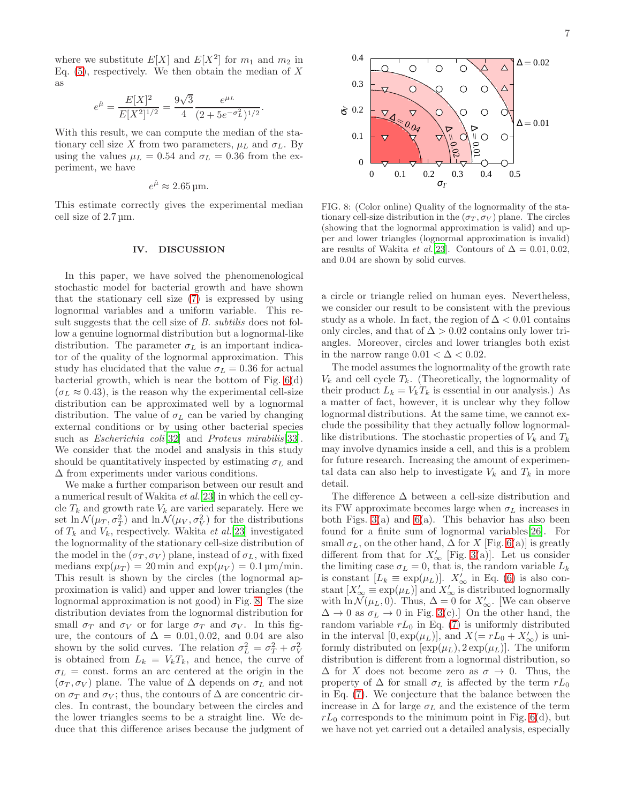where we substitute  $E[X]$  and  $E[X^2]$  for  $m_1$  and  $m_2$  in Eq.  $(5)$ , respectively. We then obtain the median of X as

$$
e^{\hat{\mu}} = \frac{E[X]^2}{E[X^2]^{1/2}} = \frac{9\sqrt{3}}{4} \frac{e^{\mu_L}}{(2 + 5e^{-\sigma_L^2})^{1/2}}.
$$

With this result, we can compute the median of the stationary cell size X from two parameters,  $\mu_L$  and  $\sigma_L$ . By using the values  $\mu_L = 0.54$  and  $\sigma_L = 0.36$  from the experiment, we have

$$
e^{\hat{\mu}} \approx 2.65 \,\mathrm{\mu m}.
$$

This estimate correctly gives the experimental median cell size of 2.7 µm.

## IV. DISCUSSION

In this paper, we have solved the phenomenological stochastic model for bacterial growth and have shown that the stationary cell size [\(7\)](#page-4-1) is expressed by using lognormal variables and a uniform variable. This result suggests that the cell size of B. subtilis does not follow a genuine lognormal distribution but a lognormal-like distribution. The parameter  $\sigma_L$  is an important indicator of the quality of the lognormal approximation. This study has elucidated that the value  $\sigma_L = 0.36$  for actual bacterial growth, which is near the bottom of Fig. [6\(](#page-5-0)d)  $(\sigma_L \approx 0.43)$ , is the reason why the experimental cell-size distribution can be approximated well by a lognormal distribution. The value of  $\sigma_L$  can be varied by changing external conditions or by using other bacterial species such as Escherichia coli<sup>[\[32\]](#page-7-30)</sup> and Proteus mirabilis<sup>[\[33](#page-7-31)]</sup>. We consider that the model and analysis in this study should be quantitatively inspected by estimating  $\sigma_L$  and ∆ from experiments under various conditions.

We make a further comparison between our result and a numerical result of Wakita et al.[\[23](#page-7-22)] in which the cell cycle  $T_k$  and growth rate  $V_k$  are varied separately. Here we set  $\ln \mathcal{N}(\mu_T, \sigma_T^2)$  and  $\ln \mathcal{N}(\mu_V, \sigma_V^2)$  for the distributions of  $T_k$  and  $V_k$ , respectively. Wakita *et al.*[\[23](#page-7-22)] investigated the lognormality of the stationary cell-size distribution of the model in the  $(\sigma_T, \sigma_V)$  plane, instead of  $\sigma_L$ , with fixed medians  $\exp(\mu_T) = 20$  min and  $\exp(\mu_V) = 0.1$  µm/min. This result is shown by the circles (the lognormal approximation is valid) and upper and lower triangles (the lognormal approximation is not good) in Fig. [8.](#page-6-0) The size distribution deviates from the lognormal distribution for small  $\sigma_T$  and  $\sigma_V$  or for large  $\sigma_T$  and  $\sigma_V$ . In this figure, the contours of  $\Delta = 0.01, 0.02,$  and 0.04 are also shown by the solid curves. The relation  $\sigma_L^2 = \sigma_T^2 + \sigma_V^2$ is obtained from  $L_k = V_k T_k$ , and hence, the curve of  $\sigma_L$  = const. forms an arc centered at the origin in the  $(\sigma_T, \sigma_V)$  plane. The value of  $\Delta$  depends on  $\sigma_L$  and not on  $\sigma_T$  and  $\sigma_V$ ; thus, the contours of  $\Delta$  are concentric circles. In contrast, the boundary between the circles and the lower triangles seems to be a straight line. We deduce that this difference arises because the judgment of



<span id="page-6-0"></span>FIG. 8: (Color online) Quality of the lognormality of the stationary cell-size distribution in the  $(\sigma_T, \sigma_V)$  plane. The circles (showing that the lognormal approximation is valid) and upper and lower triangles (lognormal approximation is invalid) are results of Wakita *et al.*[\[23\]](#page-7-22). Contours of  $\Delta = 0.01, 0.02$ , and 0.04 are shown by solid curves.

a circle or triangle relied on human eyes. Nevertheless, we consider our result to be consistent with the previous study as a whole. In fact, the region of  $\Delta < 0.01$  contains only circles, and that of  $\Delta > 0.02$  contains only lower triangles. Moreover, circles and lower triangles both exist in the narrow range  $0.01 < \Delta < 0.02$ .

The model assumes the lognormality of the growth rate  $V_k$  and cell cycle  $T_k$ . (Theoretically, the lognormality of their product  $L_k = V_k T_k$  is essential in our analysis.) As a matter of fact, however, it is unclear why they follow lognormal distributions. At the same time, we cannot exclude the possibility that they actually follow lognormallike distributions. The stochastic properties of  $V_k$  and  $T_k$ may involve dynamics inside a cell, and this is a problem for future research. Increasing the amount of experimental data can also help to investigate  $V_k$  and  $T_k$  in more detail.

The difference  $\Delta$  between a cell-size distribution and its FW approximate becomes large when  $\sigma_L$  increases in both Figs.  $3(a)$  and  $6(a)$ . This behavior has also been found for a finite sum of lognormal variables[\[26\]](#page-7-25). For small  $\sigma_L$ , on the other hand,  $\Delta$  for X [Fig. [6\(](#page-5-0)a)] is greatly different from that for  $X'_{\infty}$  [Fig. [3\(](#page-3-1)a)]. Let us consider the limiting case  $\sigma_L = 0$ , that is, the random variable  $L_k$ is constant  $[L_k \equiv \exp(\mu_L)]$ .  $X'_{\infty}$  in Eq. [\(6\)](#page-4-3) is also constant  $[X'_{\infty} \equiv \exp(\mu_L)]$  and  $X'_{\infty}$  is distributed lognormally with  $\ln \widetilde{\mathcal{N}}(\mu_L, 0)$ . Thus,  $\Delta = 0$  for  $X'_{\infty}$ . [We can observe  $\Delta \rightarrow 0$  as  $\sigma_L \rightarrow 0$  in Fig. [3\(](#page-3-1)c).] On the other hand, the random variable  $rL_0$  in Eq. [\(7\)](#page-4-1) is uniformly distributed in the interval  $[0, \exp(\mu_L)]$ , and  $X(= rL_0 + X'_{\infty})$  is uniformly distributed on  $[\exp(\mu_L), 2 \exp(\mu_L)]$ . The uniform distribution is different from a lognormal distribution, so  $\Delta$  for X does not become zero as  $\sigma \to 0$ . Thus, the property of  $\Delta$  for small  $\sigma_L$  is affected by the term  $rL_0$ in Eq. [\(7\)](#page-4-1). We conjecture that the balance between the increase in  $\Delta$  for large  $\sigma_L$  and the existence of the term  $rL_0$  corresponds to the minimum point in Fig. [6\(](#page-5-0)d), but we have not yet carried out a detailed analysis, especially